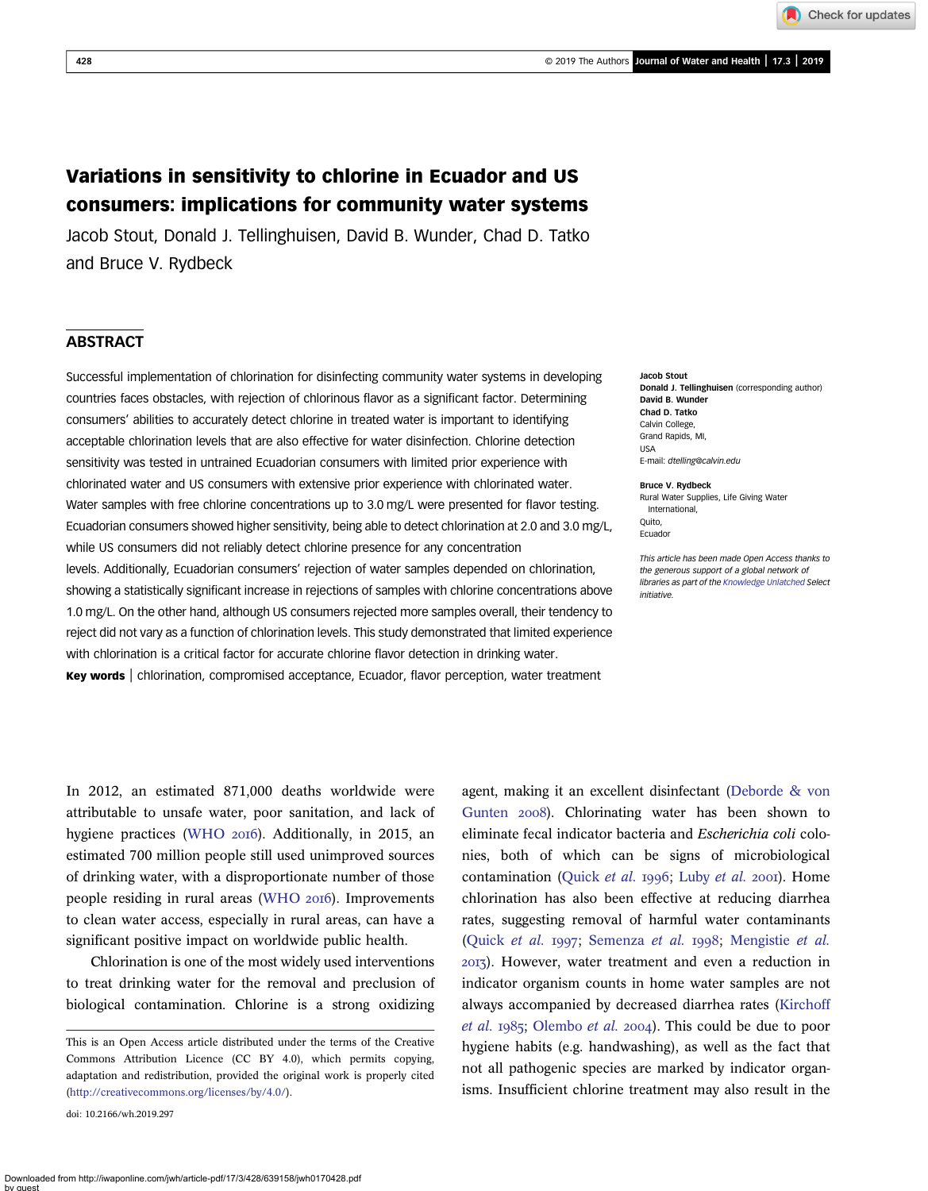Check for updates

# Variations in sensitivity to chlorine in Ecuador and US consumers: implications for community water systems

Jacob Stout, Donald J. Tellinghuisen, David B. Wunder, Chad D. Tatko and Bruce V. Rydbeck

# ABSTRACT

Successful implementation of chlorination for disinfecting community water systems in developing countries faces obstacles, with rejection of chlorinous flavor as a significant factor. Determining consumers' abilities to accurately detect chlorine in treated water is important to identifying acceptable chlorination levels that are also effective for water disinfection. Chlorine detection sensitivity was tested in untrained Ecuadorian consumers with limited prior experience with chlorinated water and US consumers with extensive prior experience with chlorinated water. Water samples with free chlorine concentrations up to 3.0 mg/L were presented for flavor testing. Ecuadorian consumers showed higher sensitivity, being able to detect chlorination at 2.0 and 3.0 mg/L, while US consumers did not reliably detect chlorine presence for any concentration levels. Additionally, Ecuadorian consumers' rejection of water samples depended on chlorination, showing a statistically significant increase in rejections of samples with chlorine concentrations above 1.0 mg/L. On the other hand, although US consumers rejected more samples overall, their tendency to reject did not vary as a function of chlorination levels. This study demonstrated that limited experience with chlorination is a critical factor for accurate chlorine flavor detection in drinking water. Key words | chlorination, compromised acceptance, Ecuador, flavor perception, water treatment

Jacob Stout Donald J. Tellinghuisen (corresponding author) David B. Wunder Chad D. Tatko Calvin College, Grand Rapids, MI, USA E-mail: [dtelling@calvin.edu](mailto:dtelling@calvin.edu)

Bruce V. Rydbeck Rural Water Supplies, Life Giving Water International, Quito, Ecuador

This article has been made Open Access thanks to the generous support of a global network of libraries as part of the [Knowledge Unlatched](http://www.knowledgeunlatched.org/ku-select/) Select initiative.

In 2012, an estimated 871,000 deaths worldwide were attributable to unsafe water, poor sanitation, and lack of hygiene practices ([WHO](#page-13-0) 2016). Additionally, in 2015, an estimated 700 million people still used unimproved sources of drinking water, with a disproportionate number of those people residing in rural areas ([WHO](#page-13-0) 2016). Improvements to clean water access, especially in rural areas, can have a significant positive impact on worldwide public health.

Chlorination is one of the most widely used interventions to treat drinking water for the removal and preclusion of biological contamination. Chlorine is a strong oxidizing

doi: 10.2166/wh.2019.297

agent, making it an excellent disinfectant [\(Deborde & von](#page-12-0) [Gunten](#page-12-0) 2008). Chlorinating water has been shown to eliminate fecal indicator bacteria and Escherichia coli colonies, both of which can be signs of microbiological contamination [\(Quick](#page-13-0) et al. 1996; [Luby](#page-12-0) et al. 2001). Home chlorination has also been effective at reducing diarrhea rates, suggesting removal of harmful water contaminants ([Quick](#page-13-0) et al. 1997; [Semenza](#page-13-0) et al. 1998; [Mengistie](#page-13-0) et al. ). However, water treatment and even a reduction in indicator organism counts in home water samples are not always accompanied by decreased diarrhea rates [\(Kirchoff](#page-12-0) [et al.](#page-12-0) 1985; [Olembo](#page-13-0) et al. 2004). This could be due to poor hygiene habits (e.g. handwashing), as well as the fact that not all pathogenic species are marked by indicator organisms. Insufficient chlorine treatment may also result in the

This is an Open Access article distributed under the terms of the Creative Commons Attribution Licence (CC BY 4.0), which permits copying, adaptation and redistribution, provided the original work is properly cited ([http://creativecommons.org/licenses/by/4.0/\)](http://creativecommons.org/licenses/by/4.0/).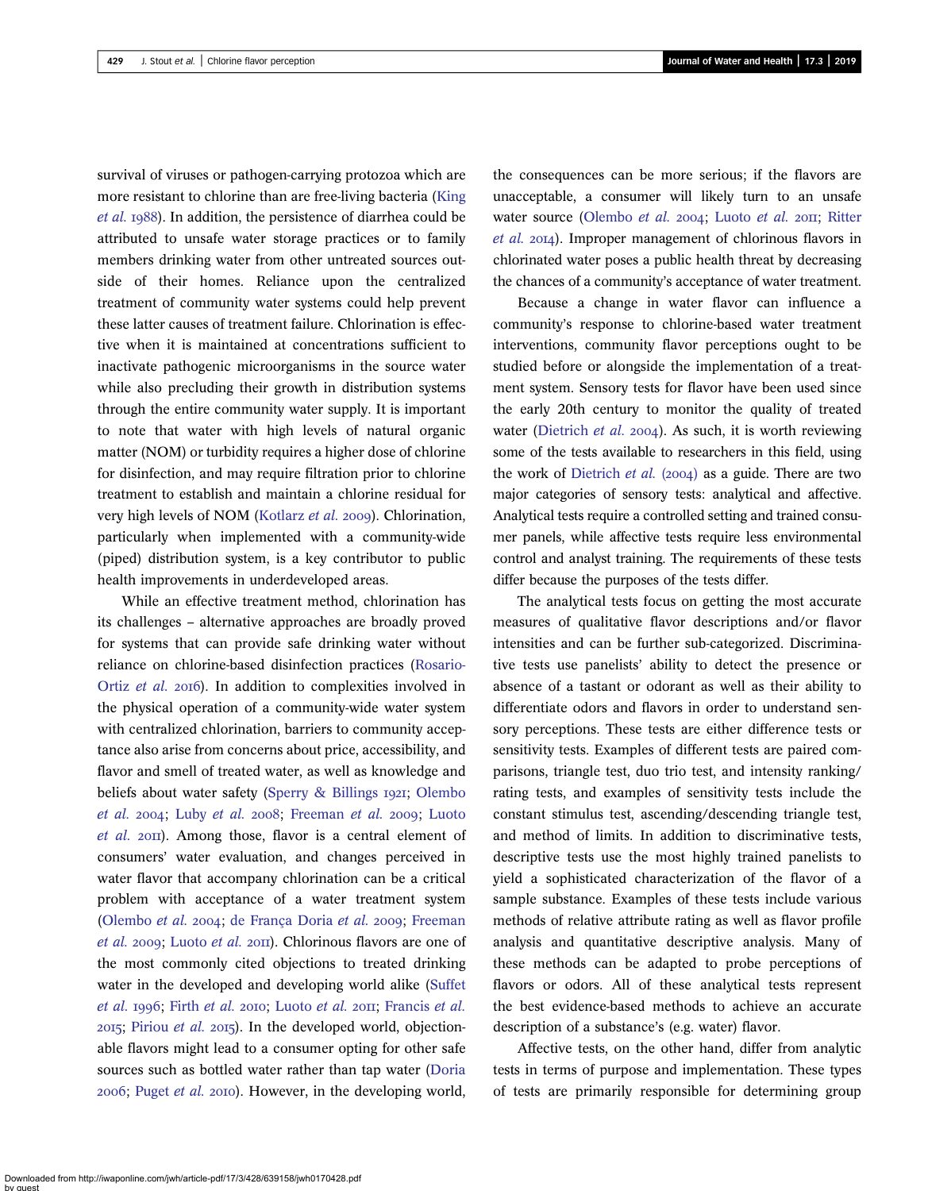survival of viruses or pathogen-carrying protozoa which are more resistant to chlorine than are free-living bacteria ([King](#page-12-0) [et al.](#page-12-0) 1988). In addition, the persistence of diarrhea could be attributed to unsafe water storage practices or to family members drinking water from other untreated sources outside of their homes. Reliance upon the centralized treatment of community water systems could help prevent these latter causes of treatment failure. Chlorination is effective when it is maintained at concentrations sufficient to inactivate pathogenic microorganisms in the source water while also precluding their growth in distribution systems through the entire community water supply. It is important to note that water with high levels of natural organic matter (NOM) or turbidity requires a higher dose of chlorine for disinfection, and may require filtration prior to chlorine treatment to establish and maintain a chlorine residual for very high levels of NOM ([Kotlarz](#page-12-0) et al. 2009). Chlorination, particularly when implemented with a community-wide (piped) distribution system, is a key contributor to public health improvements in underdeveloped areas.

While an effective treatment method, chlorination has its challenges – alternative approaches are broadly proved for systems that can provide safe drinking water without reliance on chlorine-based disinfection practices ([Rosario-](#page-13-0)[Ortiz](#page-13-0) et al. 2016). In addition to complexities involved in the physical operation of a community-wide water system with centralized chlorination, barriers to community acceptance also arise from concerns about price, accessibility, and flavor and smell of treated water, as well as knowledge and beliefs about water safety ([Sperry & Billings](#page-13-0) 1921; [Olembo](#page-13-0) [et al.](#page-13-0) 2004; Luby et al. 2008; [Freeman](#page-12-0) et al. 2009; [Luoto](#page-13-0)  $et$  al.  $2$ OII). Among those, flavor is a central element of consumers' water evaluation, and changes perceived in water flavor that accompany chlorination can be a critical problem with acceptance of a water treatment system [\(Olembo](#page-13-0) et al. 2004; [de França Doria](#page-12-0) et al. 2009; [Freeman](#page-12-0) [et al.](#page-12-0) 2009; [Luoto](#page-13-0) et al. 2011). Chlorinous flavors are one of the most commonly cited objections to treated drinking water in the developed and developing world alike ([Suffet](#page-13-0) [et al.](#page-12-0) 1996; Firth et al. 2010; [Luoto](#page-13-0) et al. 2011; [Francis](#page-12-0) et al.  $2015$ ; [Piriou](#page-13-0) *et al.*  $2015$ ). In the developed world, objectionable flavors might lead to a consumer opting for other safe sources such as bottled water rather than tap water ([Doria](#page-12-0) 2006; [Puget](#page-13-0) et al. 2010). However, in the developing world,

the consequences can be more serious; if the flavors are unacceptable, a consumer will likely turn to an unsafe water source [\(Olembo](#page-13-0) et al. 2004; [Luoto](#page-13-0) et al. 2011; [Ritter](#page-13-0)  $et \ al. 2014$ ). Improper management of chlorinous flavors in chlorinated water poses a public health threat by decreasing the chances of a community's acceptance of water treatment.

Because a change in water flavor can influence a community's response to chlorine-based water treatment interventions, community flavor perceptions ought to be studied before or alongside the implementation of a treatment system. Sensory tests for flavor have been used since the early 20th century to monitor the quality of treated water [\(Dietrich](#page-12-0) et al. 2004). As such, it is worth reviewing some of the tests available to researchers in this field, using the work of [Dietrich](#page-12-0) et al.  $(2004)$  as a guide. There are two major categories of sensory tests: analytical and affective. Analytical tests require a controlled setting and trained consumer panels, while affective tests require less environmental control and analyst training. The requirements of these tests differ because the purposes of the tests differ.

The analytical tests focus on getting the most accurate measures of qualitative flavor descriptions and/or flavor intensities and can be further sub-categorized. Discriminative tests use panelists' ability to detect the presence or absence of a tastant or odorant as well as their ability to differentiate odors and flavors in order to understand sensory perceptions. These tests are either difference tests or sensitivity tests. Examples of different tests are paired comparisons, triangle test, duo trio test, and intensity ranking/ rating tests, and examples of sensitivity tests include the constant stimulus test, ascending/descending triangle test, and method of limits. In addition to discriminative tests, descriptive tests use the most highly trained panelists to yield a sophisticated characterization of the flavor of a sample substance. Examples of these tests include various methods of relative attribute rating as well as flavor profile analysis and quantitative descriptive analysis. Many of these methods can be adapted to probe perceptions of flavors or odors. All of these analytical tests represent the best evidence-based methods to achieve an accurate description of a substance's (e.g. water) flavor.

Affective tests, on the other hand, differ from analytic tests in terms of purpose and implementation. These types of tests are primarily responsible for determining group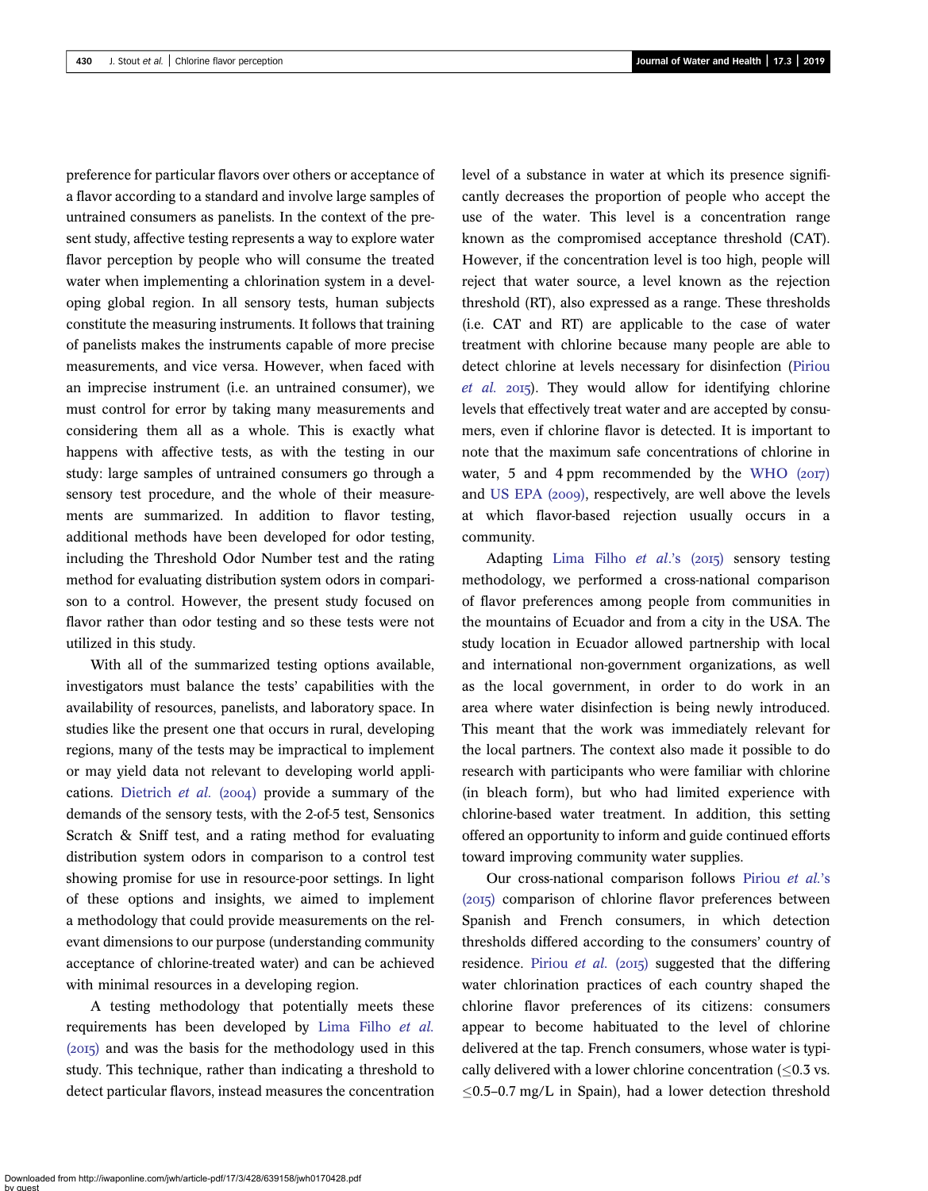preference for particular flavors over others or acceptance of a flavor according to a standard and involve large samples of untrained consumers as panelists. In the context of the present study, affective testing represents a way to explore water flavor perception by people who will consume the treated water when implementing a chlorination system in a developing global region. In all sensory tests, human subjects constitute the measuring instruments. It follows that training of panelists makes the instruments capable of more precise measurements, and vice versa. However, when faced with an imprecise instrument (i.e. an untrained consumer), we must control for error by taking many measurements and considering them all as a whole. This is exactly what happens with affective tests, as with the testing in our study: large samples of untrained consumers go through a sensory test procedure, and the whole of their measurements are summarized. In addition to flavor testing, additional methods have been developed for odor testing, including the Threshold Odor Number test and the rating method for evaluating distribution system odors in comparison to a control. However, the present study focused on flavor rather than odor testing and so these tests were not utilized in this study.

With all of the summarized testing options available, investigators must balance the tests' capabilities with the availability of resources, panelists, and laboratory space. In studies like the present one that occurs in rural, developing regions, many of the tests may be impractical to implement or may yield data not relevant to developing world appli-cations. [Dietrich](#page-12-0) et al.  $(2004)$  provide a summary of the demands of the sensory tests, with the 2-of-5 test, Sensonics Scratch & Sniff test, and a rating method for evaluating distribution system odors in comparison to a control test showing promise for use in resource-poor settings. In light of these options and insights, we aimed to implement a methodology that could provide measurements on the relevant dimensions to our purpose (understanding community acceptance of chlorine-treated water) and can be achieved with minimal resources in a developing region.

A testing methodology that potentially meets these requirements has been developed by [Lima Filho](#page-12-0) et al.  $(2015)$  and was the basis for the methodology used in this study. This technique, rather than indicating a threshold to detect particular flavors, instead measures the concentration level of a substance in water at which its presence significantly decreases the proportion of people who accept the use of the water. This level is a concentration range known as the compromised acceptance threshold (CAT). However, if the concentration level is too high, people will reject that water source, a level known as the rejection threshold (RT), also expressed as a range. These thresholds (i.e. CAT and RT) are applicable to the case of water treatment with chlorine because many people are able to detect chlorine at levels necessary for disinfection ([Piriou](#page-13-0)  $et$  al.  $2015$ ). They would allow for identifying chlorine levels that effectively treat water and are accepted by consumers, even if chlorine flavor is detected. It is important to note that the maximum safe concentrations of chlorine in water, 5 and 4 ppm recommended by the WHO  $(2017)$ and [US EPA \(](#page-13-0)2009), respectively, are well above the levels at which flavor-based rejection usually occurs in a community.

Adapting [Lima Filho](#page-12-0) et al.'s  $(2015)$  sensory testing methodology, we performed a cross-national comparison of flavor preferences among people from communities in the mountains of Ecuador and from a city in the USA. The study location in Ecuador allowed partnership with local and international non-government organizations, as well as the local government, in order to do work in an area where water disinfection is being newly introduced. This meant that the work was immediately relevant for the local partners. The context also made it possible to do research with participants who were familiar with chlorine (in bleach form), but who had limited experience with chlorine-based water treatment. In addition, this setting offered an opportunity to inform and guide continued efforts toward improving community water supplies.

Our cross-national comparison follows [Piriou](#page-13-0) et al.'s (2015) comparison of chlorine flavor preferences between Spanish and French consumers, in which detection thresholds differed according to the consumers' country of residence. [Piriou](#page-13-0) *et al.* (2015) suggested that the differing water chlorination practices of each country shaped the chlorine flavor preferences of its citizens: consumers appear to become habituated to the level of chlorine delivered at the tap. French consumers, whose water is typically delivered with a lower chlorine concentration  $\langle 0.3 \rangle$  vs.  $\leq$ 0.5–0.7 mg/L in Spain), had a lower detection threshold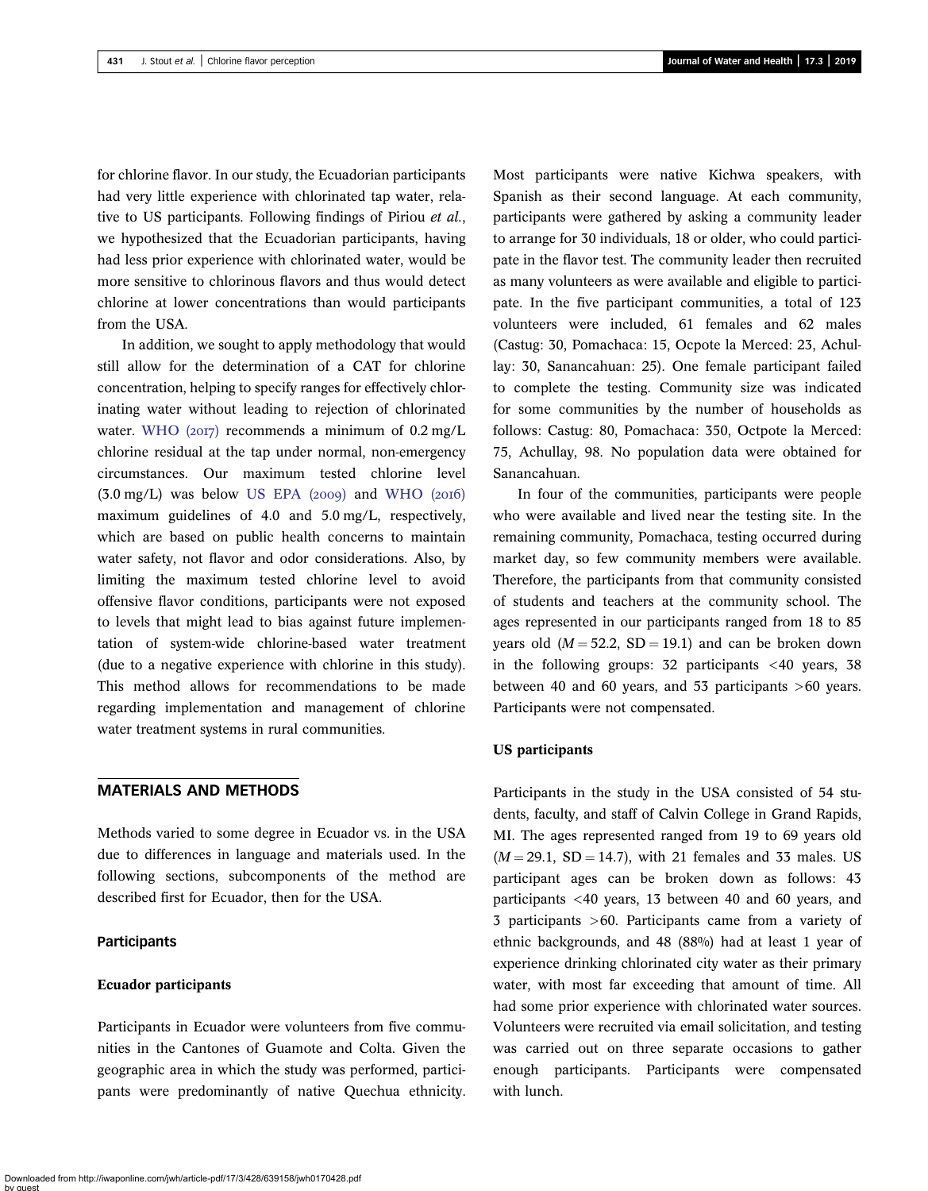for chlorine flavor. In our study, the Ecuadorian participants had very little experience with chlorinated tap water, relative to US participants. Following findings of Piriou et al., we hypothesized that the Ecuadorian participants, having had less prior experience with chlorinated water, would be more sensitive to chlorinous flavors and thus would detect chlorine at lower concentrations than would participants from the USA.

In addition, we sought to apply methodology that would still allow for the determination of a CAT for chlorine concentration, helping to specify ranges for effectively chlorinating water without leading to rejection of chlorinated water. WHO  $(20I)$  recommends a minimum of  $0.2 \text{ mg/L}$ chlorine residual at the tap under normal, non-emergency circumstances. Our maximum tested chlorine level  $(3.0 \text{ mg/L})$  was below US EPA  $(2009)$  and WHO  $(2016)$ maximum guidelines of 4.0 and 5.0 mg/L, respectively, which are based on public health concerns to maintain water safety, not flavor and odor considerations. Also, by limiting the maximum tested chlorine level to avoid offensive flavor conditions, participants were not exposed to levels that might lead to bias against future implementation of system-wide chlorine-based water treatment (due to a negative experience with chlorine in this study). This method allows for recommendations to be made regarding implementation and management of chlorine water treatment systems in rural communities.

## MATERIALS AND METHODS

Methods varied to some degree in Ecuador vs. in the USA due to differences in language and materials used. In the following sections, subcomponents of the method are described first for Ecuador, then for the USA.

## **Participants**

#### Ecuador participants

Participants in Ecuador were volunteers from five communities in the Cantones of Guamote and Colta. Given the geographic area in which the study was performed, participants were predominantly of native Quechua ethnicity.

Most participants were native Kichwa speakers, with Spanish as their second language. At each community, participants were gathered by asking a community leader to arrange for 30 individuals, 18 or older, who could participate in the flavor test. The community leader then recruited as many volunteers as were available and eligible to participate. In the five participant communities, a total of 123 volunteers were included, 61 females and 62 males (Castug: 30, Pomachaca: 15, Ocpote la Merced: 23, Achullay: 30, Sanancahuan: 25). One female participant failed to complete the testing. Community size was indicated for some communities by the number of households as follows: Castug: 80, Pomachaca: 350, Octpote la Merced: 75, Achullay, 98. No population data were obtained for Sanancahuan.

In four of the communities, participants were people who were available and lived near the testing site. In the remaining community, Pomachaca, testing occurred during market day, so few community members were available. Therefore, the participants from that community consisted of students and teachers at the community school. The ages represented in our participants ranged from 18 to 85 years old  $(M = 52.2, SD = 19.1)$  and can be broken down in the following groups: 32 participants <40 years, 38 between 40 and 60 years, and 53 participants >60 years. Participants were not compensated.

#### US participants

Participants in the study in the USA consisted of 54 students, faculty, and staff of Calvin College in Grand Rapids, MI. The ages represented ranged from 19 to 69 years old  $(M = 29.1, SD = 14.7)$ , with 21 females and 33 males. US participant ages can be broken down as follows: 43 participants <40 years, 13 between 40 and 60 years, and 3 participants >60. Participants came from a variety of ethnic backgrounds, and 48 (88%) had at least 1 year of experience drinking chlorinated city water as their primary water, with most far exceeding that amount of time. All had some prior experience with chlorinated water sources. Volunteers were recruited via email solicitation, and testing was carried out on three separate occasions to gather enough participants. Participants were compensated with lunch.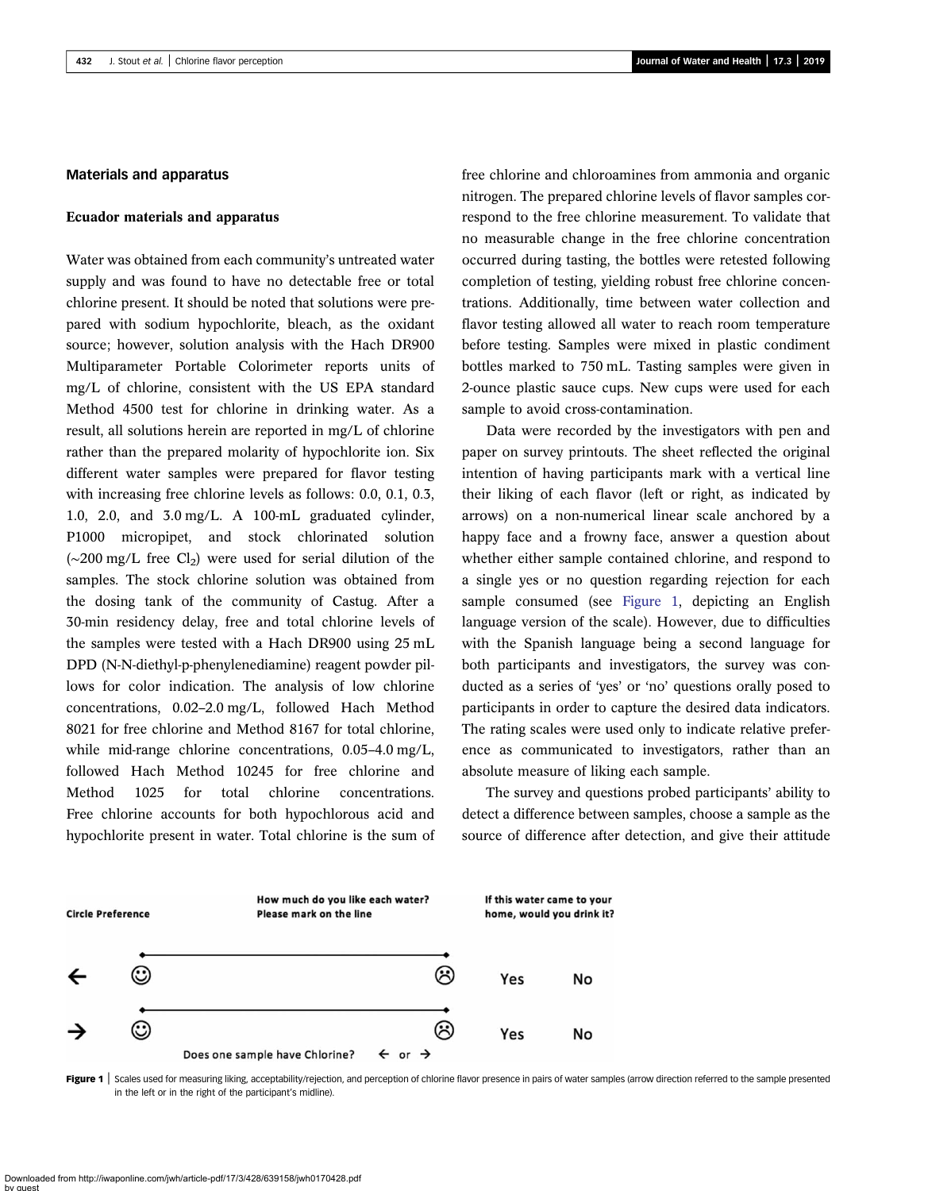#### <span id="page-4-0"></span>Materials and apparatus

#### Ecuador materials and apparatus

Water was obtained from each community's untreated water supply and was found to have no detectable free or total chlorine present. It should be noted that solutions were prepared with sodium hypochlorite, bleach, as the oxidant source; however, solution analysis with the Hach DR900 Multiparameter Portable Colorimeter reports units of mg/L of chlorine, consistent with the US EPA standard Method 4500 test for chlorine in drinking water. As a result, all solutions herein are reported in mg/L of chlorine rather than the prepared molarity of hypochlorite ion. Six different water samples were prepared for flavor testing with increasing free chlorine levels as follows: 0.0, 0.1, 0.3, 1.0, 2.0, and 3.0 mg/L. A 100-mL graduated cylinder, P1000 micropipet, and stock chlorinated solution  $(\sim 200 \text{ mg/L}$  free Cl<sub>2</sub>) were used for serial dilution of the samples. The stock chlorine solution was obtained from the dosing tank of the community of Castug. After a 30-min residency delay, free and total chlorine levels of the samples were tested with a Hach DR900 using 25 mL DPD (N-N-diethyl-p-phenylenediamine) reagent powder pillows for color indication. The analysis of low chlorine concentrations, 0.02–2.0 mg/L, followed Hach Method 8021 for free chlorine and Method 8167 for total chlorine, while mid-range chlorine concentrations, 0.05–4.0 mg/L, followed Hach Method 10245 for free chlorine and Method 1025 for total chlorine concentrations. Free chlorine accounts for both hypochlorous acid and hypochlorite present in water. Total chlorine is the sum of free chlorine and chloroamines from ammonia and organic nitrogen. The prepared chlorine levels of flavor samples correspond to the free chlorine measurement. To validate that no measurable change in the free chlorine concentration occurred during tasting, the bottles were retested following completion of testing, yielding robust free chlorine concentrations. Additionally, time between water collection and flavor testing allowed all water to reach room temperature before testing. Samples were mixed in plastic condiment bottles marked to 750 mL. Tasting samples were given in 2-ounce plastic sauce cups. New cups were used for each sample to avoid cross-contamination.

Data were recorded by the investigators with pen and paper on survey printouts. The sheet reflected the original intention of having participants mark with a vertical line their liking of each flavor (left or right, as indicated by arrows) on a non-numerical linear scale anchored by a happy face and a frowny face, answer a question about whether either sample contained chlorine, and respond to a single yes or no question regarding rejection for each sample consumed (see Figure 1, depicting an English language version of the scale). However, due to difficulties with the Spanish language being a second language for both participants and investigators, the survey was conducted as a series of 'yes' or 'no' questions orally posed to participants in order to capture the desired data indicators. The rating scales were used only to indicate relative preference as communicated to investigators, rather than an absolute measure of liking each sample.

The survey and questions probed participants' ability to detect a difference between samples, choose a sample as the source of difference after detection, and give their attitude



Figure 1 | Scales used for measuring liking, acceptability/rejection, and perception of chlorine flavor presence in pairs of water samples (arrow direction referred to the sample presented in the left or in the right of the participant's midline).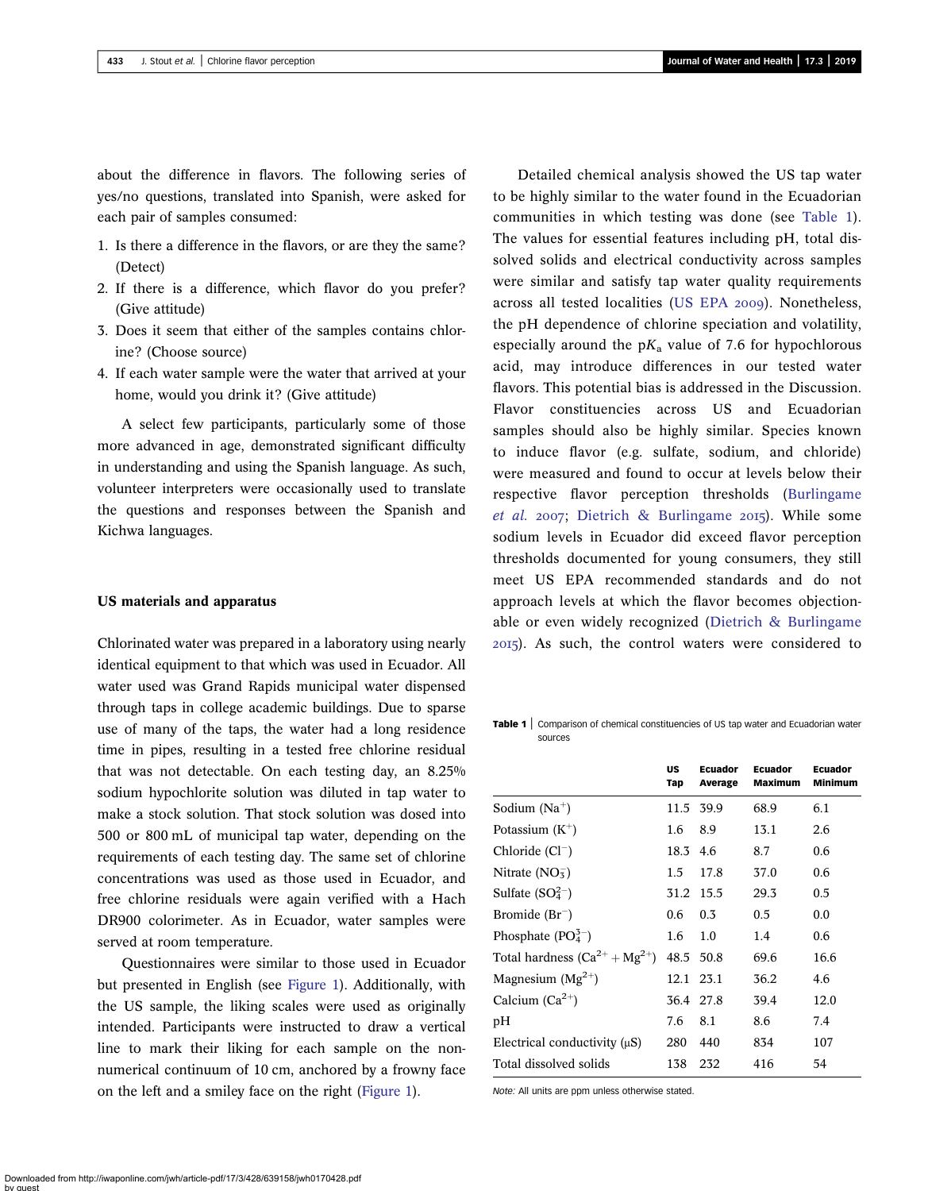<span id="page-5-0"></span>about the difference in flavors. The following series of yes/no questions, translated into Spanish, were asked for each pair of samples consumed:

- 1. Is there a difference in the flavors, or are they the same? (Detect)
- 2. If there is a difference, which flavor do you prefer? (Give attitude)
- 3. Does it seem that either of the samples contains chlorine? (Choose source)
- 4. If each water sample were the water that arrived at your home, would you drink it? (Give attitude)

A select few participants, particularly some of those more advanced in age, demonstrated significant difficulty in understanding and using the Spanish language. As such, volunteer interpreters were occasionally used to translate the questions and responses between the Spanish and Kichwa languages.

#### US materials and apparatus

Chlorinated water was prepared in a laboratory using nearly identical equipment to that which was used in Ecuador. All water used was Grand Rapids municipal water dispensed through taps in college academic buildings. Due to sparse use of many of the taps, the water had a long residence time in pipes, resulting in a tested free chlorine residual that was not detectable. On each testing day, an 8.25% sodium hypochlorite solution was diluted in tap water to make a stock solution. That stock solution was dosed into 500 or 800 mL of municipal tap water, depending on the requirements of each testing day. The same set of chlorine concentrations was used as those used in Ecuador, and free chlorine residuals were again verified with a Hach DR900 colorimeter. As in Ecuador, water samples were served at room temperature.

Questionnaires were similar to those used in Ecuador but presented in English (see [Figure 1](#page-4-0)). Additionally, with the US sample, the liking scales were used as originally intended. Participants were instructed to draw a vertical line to mark their liking for each sample on the nonnumerical continuum of 10 cm, anchored by a frowny face on the left and a smiley face on the right [\(Figure 1](#page-4-0)).

Detailed chemical analysis showed the US tap water to be highly similar to the water found in the Ecuadorian communities in which testing was done (see Table 1). The values for essential features including pH, total dissolved solids and electrical conductivity across samples were similar and satisfy tap water quality requirements across all tested localities ([US EPA](#page-13-0) 2009). Nonetheless, the pH dependence of chlorine speciation and volatility, especially around the  $pK_a$  value of 7.6 for hypochlorous acid, may introduce differences in our tested water flavors. This potential bias is addressed in the Discussion. Flavor constituencies across US and Ecuadorian samples should also be highly similar. Species known to induce flavor (e.g. sulfate, sodium, and chloride) were measured and found to occur at levels below their respective flavor perception thresholds [\(Burlingame](#page-12-0) [et al.](#page-12-0) 2007; [Dietrich & Burlingame](#page-12-0) 2015). While some sodium levels in Ecuador did exceed flavor perception thresholds documented for young consumers, they still meet US EPA recommended standards and do not approach levels at which the flavor becomes objectionable or even widely recognized [\(Dietrich & Burlingame](#page-12-0) ). As such, the control waters were considered to

Table 1 | Comparison of chemical constituencies of US tap water and Ecuadorian water sources

|                                      | US<br>Tap | <b>Ecuador</b><br>Average | <b>Ecuador</b><br><b>Maximum</b> | <b>Ecuador</b><br><b>Minimum</b> |
|--------------------------------------|-----------|---------------------------|----------------------------------|----------------------------------|
| Sodium $(Na^+)$                      |           | 11.5 39.9                 | 68.9                             | 6.1                              |
| Potassium $(K^+)$                    | 1.6       | 8.9                       | 13.1                             | 2.6                              |
| Chloride $(Cl^-)$                    | 18.3 4.6  |                           | 8.7                              | 0.6                              |
| Nitrate $(NO_5^-)$                   | 1.5       | 17.8                      | 37.0                             | 0.6                              |
| Sulfate $(SO_4^{2-})$                | 31.2 15.5 |                           | 29.3                             | 0.5                              |
| Bromide $(Br^{-})$                   | 0.6       | $0.3^{\circ}$             | $0.5^{\circ}$                    | 0.0                              |
| Phosphate $(PO43–)$                  | 1.6       | 1.0                       | 1.4                              | 0.6                              |
| Total hardness $(Ca^{2+} + Mg^{2+})$ | 48.5 50.8 |                           | 69.6                             | 16.6                             |
| Magnesium $(Mg^{2+})$                |           | 12.1 23.1                 | 36.2                             | 4.6                              |
| Calcium $(Ca^{2+})$                  | 36.4 27.8 |                           | 39.4                             | 12.0                             |
| pН                                   | 7.6       | 8.1                       | 8.6                              | 7.4                              |
| Electrical conductivity $(\mu S)$    | 280       | 440                       | 834                              | 107                              |
| Total dissolved solids               | 138       | 232                       | 416                              | 54                               |

Note: All units are ppm unless otherwise stated.

Downloaded from http://iwaponline.com/jwh/article-pdf/17/3/428/639158/jwh0170428.pdf by guest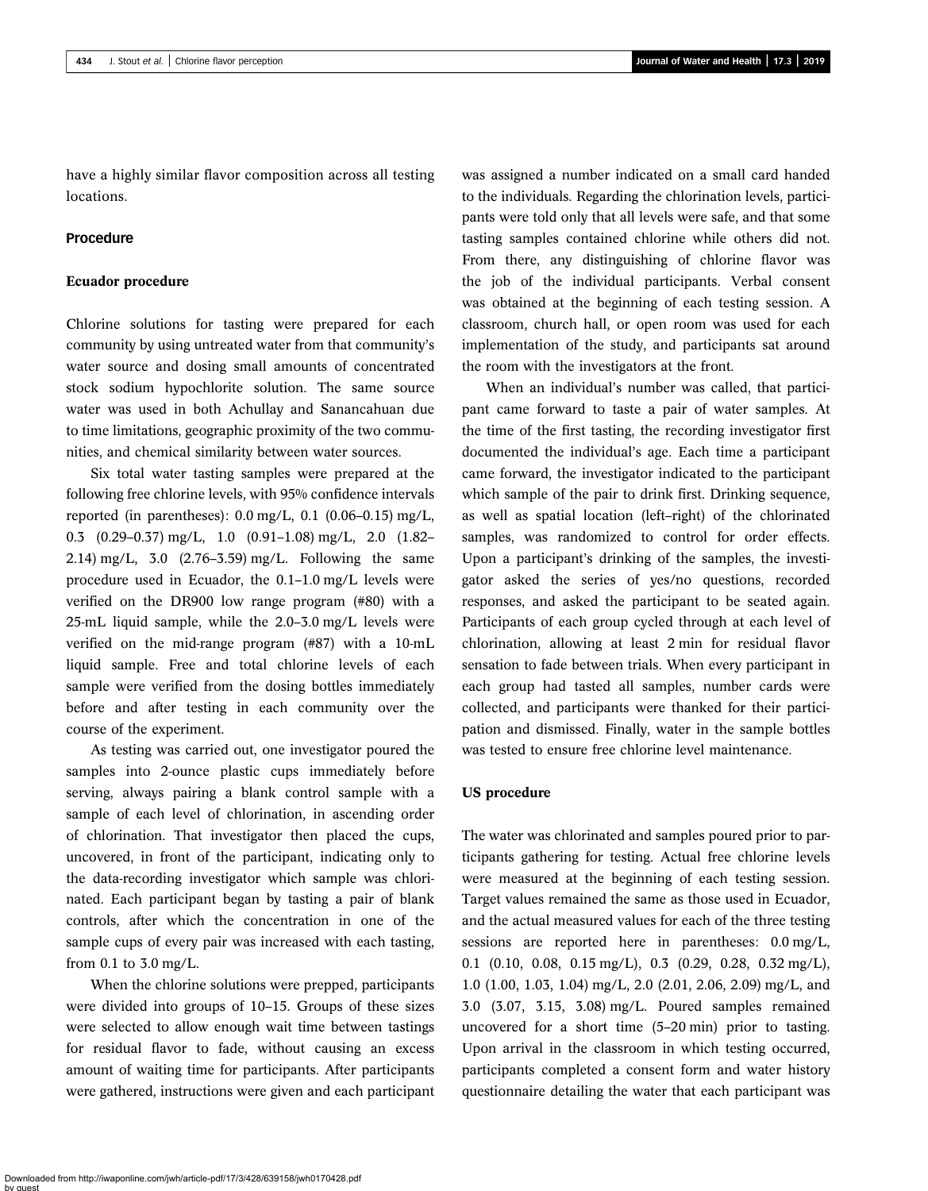have a highly similar flavor composition across all testing locations.

#### Procedure

#### Ecuador procedure

Chlorine solutions for tasting were prepared for each community by using untreated water from that community's water source and dosing small amounts of concentrated stock sodium hypochlorite solution. The same source water was used in both Achullay and Sanancahuan due to time limitations, geographic proximity of the two communities, and chemical similarity between water sources.

Six total water tasting samples were prepared at the following free chlorine levels, with 95% confidence intervals reported (in parentheses): 0.0 mg/L, 0.1 (0.06–0.15) mg/L, 0.3 (0.29–0.37) mg/L, 1.0 (0.91–1.08) mg/L, 2.0 (1.82– 2.14) mg/L, 3.0 (2.76–3.59) mg/L. Following the same procedure used in Ecuador, the 0.1–1.0 mg/L levels were verified on the DR900 low range program (#80) with a 25-mL liquid sample, while the 2.0–3.0 mg/L levels were verified on the mid-range program (#87) with a 10-mL liquid sample. Free and total chlorine levels of each sample were verified from the dosing bottles immediately before and after testing in each community over the course of the experiment.

As testing was carried out, one investigator poured the samples into 2-ounce plastic cups immediately before serving, always pairing a blank control sample with a sample of each level of chlorination, in ascending order of chlorination. That investigator then placed the cups, uncovered, in front of the participant, indicating only to the data-recording investigator which sample was chlorinated. Each participant began by tasting a pair of blank controls, after which the concentration in one of the sample cups of every pair was increased with each tasting, from 0.1 to 3.0 mg/L.

When the chlorine solutions were prepped, participants were divided into groups of 10–15. Groups of these sizes were selected to allow enough wait time between tastings for residual flavor to fade, without causing an excess amount of waiting time for participants. After participants were gathered, instructions were given and each participant was assigned a number indicated on a small card handed to the individuals. Regarding the chlorination levels, participants were told only that all levels were safe, and that some tasting samples contained chlorine while others did not. From there, any distinguishing of chlorine flavor was the job of the individual participants. Verbal consent was obtained at the beginning of each testing session. A classroom, church hall, or open room was used for each implementation of the study, and participants sat around the room with the investigators at the front.

When an individual's number was called, that participant came forward to taste a pair of water samples. At the time of the first tasting, the recording investigator first documented the individual's age. Each time a participant came forward, the investigator indicated to the participant which sample of the pair to drink first. Drinking sequence, as well as spatial location (left–right) of the chlorinated samples, was randomized to control for order effects. Upon a participant's drinking of the samples, the investigator asked the series of yes/no questions, recorded responses, and asked the participant to be seated again. Participants of each group cycled through at each level of chlorination, allowing at least 2 min for residual flavor sensation to fade between trials. When every participant in each group had tasted all samples, number cards were collected, and participants were thanked for their participation and dismissed. Finally, water in the sample bottles was tested to ensure free chlorine level maintenance.

#### US procedure

The water was chlorinated and samples poured prior to participants gathering for testing. Actual free chlorine levels were measured at the beginning of each testing session. Target values remained the same as those used in Ecuador, and the actual measured values for each of the three testing sessions are reported here in parentheses: 0.0 mg/L, 0.1 (0.10, 0.08, 0.15 mg/L), 0.3 (0.29, 0.28, 0.32 mg/L), 1.0 (1.00, 1.03, 1.04) mg/L, 2.0 (2.01, 2.06, 2.09) mg/L, and 3.0 (3.07, 3.15, 3.08) mg/L. Poured samples remained uncovered for a short time (5–20 min) prior to tasting. Upon arrival in the classroom in which testing occurred, participants completed a consent form and water history questionnaire detailing the water that each participant was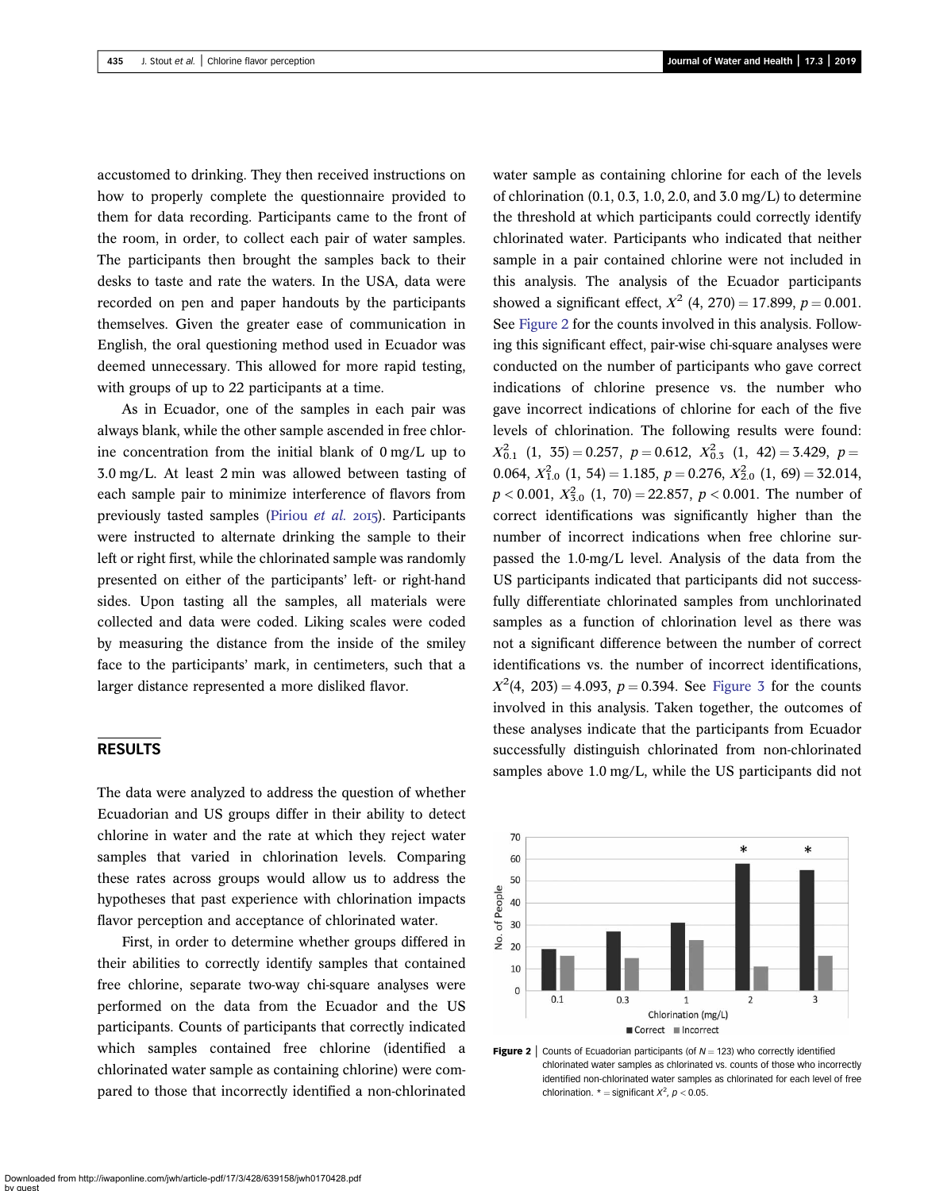accustomed to drinking. They then received instructions on how to properly complete the questionnaire provided to them for data recording. Participants came to the front of the room, in order, to collect each pair of water samples. The participants then brought the samples back to their desks to taste and rate the waters. In the USA, data were recorded on pen and paper handouts by the participants themselves. Given the greater ease of communication in English, the oral questioning method used in Ecuador was deemed unnecessary. This allowed for more rapid testing, with groups of up to 22 participants at a time.

As in Ecuador, one of the samples in each pair was always blank, while the other sample ascended in free chlorine concentration from the initial blank of 0 mg/L up to 3.0 mg/L. At least 2 min was allowed between tasting of each sample pair to minimize interference of flavors from previously tasted samples ([Piriou](#page-13-0) et al. 2015). Participants were instructed to alternate drinking the sample to their left or right first, while the chlorinated sample was randomly presented on either of the participants' left- or right-hand sides. Upon tasting all the samples, all materials were collected and data were coded. Liking scales were coded by measuring the distance from the inside of the smiley face to the participants' mark, in centimeters, such that a larger distance represented a more disliked flavor.

## RESULTS

The data were analyzed to address the question of whether Ecuadorian and US groups differ in their ability to detect chlorine in water and the rate at which they reject water samples that varied in chlorination levels. Comparing these rates across groups would allow us to address the hypotheses that past experience with chlorination impacts flavor perception and acceptance of chlorinated water.

First, in order to determine whether groups differed in their abilities to correctly identify samples that contained free chlorine, separate two-way chi-square analyses were performed on the data from the Ecuador and the US participants. Counts of participants that correctly indicated which samples contained free chlorine (identified a chlorinated water sample as containing chlorine) were compared to those that incorrectly identified a non-chlorinated water sample as containing chlorine for each of the levels of chlorination  $(0.1, 0.3, 1.0, 2.0, \text{and } 3.0 \text{ mg/L})$  to determine the threshold at which participants could correctly identify chlorinated water. Participants who indicated that neither sample in a pair contained chlorine were not included in this analysis. The analysis of the Ecuador participants showed a significant effect,  $X^2$  (4, 270) = 17.899, p = 0.001. See Figure 2 for the counts involved in this analysis. Following this significant effect, pair-wise chi-square analyses were conducted on the number of participants who gave correct indications of chlorine presence vs. the number who gave incorrect indications of chlorine for each of the five levels of chlorination. The following results were found:  $X_{0.1}^2$  (1, 35) = 0.257, p = 0.612,  $X_{0.3}^2$  (1, 42) = 3.429, p = 0.064,  $X_{1.0}^2$  (1, 54) = 1.185,  $p = 0.276$ ,  $X_{2.0}^2$  (1, 69) = 32.014,  $p < 0.001, X_{3.0}^2(1, 70) = 22.857, p < 0.001$ . The number of correct identifications was significantly higher than the number of incorrect indications when free chlorine surpassed the 1.0-mg/L level. Analysis of the data from the US participants indicated that participants did not successfully differentiate chlorinated samples from unchlorinated samples as a function of chlorination level as there was not a significant difference between the number of correct identifications vs. the number of incorrect identifications,  $X^2(4, 203) = 4.093$ ,  $p = 0.394$ . See [Figure 3](#page-8-0) for the counts involved in this analysis. Taken together, the outcomes of these analyses indicate that the participants from Ecuador successfully distinguish chlorinated from non-chlorinated samples above 1.0 mg/L, while the US participants did not



**Figure 2** | Counts of Ecuadorian participants (of  $N = 123$ ) who correctly identified chlorinated water samples as chlorinated vs. counts of those who incorrectly identified non-chlorinated water samples as chlorinated for each level of free chlorination.  $* =$  significant  $X^2$ ,  $p < 0.05$ .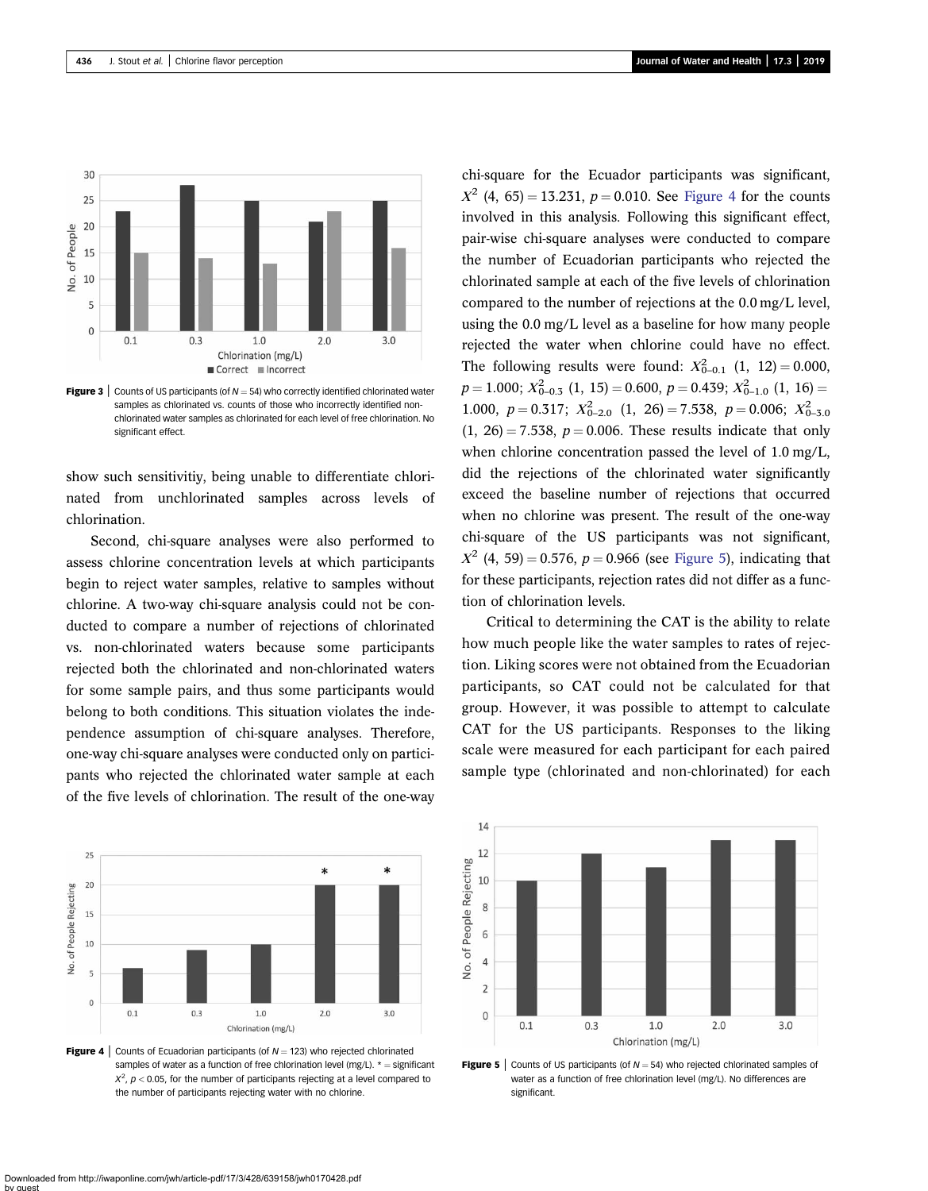<span id="page-8-0"></span>

**Figure 3** Counts of US participants (of  $N = 54$ ) who correctly identified chlorinated water samples as chlorinated vs. counts of those who incorrectly identified nonchlorinated water samples as chlorinated for each level of free chlorination. No significant effect.

show such sensitivitiy, being unable to differentiate chlorinated from unchlorinated samples across levels of chlorination.

Second, chi-square analyses were also performed to assess chlorine concentration levels at which participants begin to reject water samples, relative to samples without chlorine. A two-way chi-square analysis could not be conducted to compare a number of rejections of chlorinated vs. non-chlorinated waters because some participants rejected both the chlorinated and non-chlorinated waters for some sample pairs, and thus some participants would belong to both conditions. This situation violates the independence assumption of chi-square analyses. Therefore, one-way chi-square analyses were conducted only on participants who rejected the chlorinated water sample at each of the five levels of chlorination. The result of the one-way



**Figure 4** Counts of Ecuadorian participants (of  $N = 123$ ) who rejected chlorinated samples of water as a function of free chlorination level ( $mg/L$ ).  $* =$  significant  $X^2$ ,  $p <$  0.05, for the number of participants rejecting at a level compared to the number of participants rejecting water with no chlorine.

chi-square for the Ecuador participants was significant,  $X^2$  (4, 65) = 13.231, p = 0.010. See Figure 4 for the counts involved in this analysis. Following this significant effect, pair-wise chi-square analyses were conducted to compare the number of Ecuadorian participants who rejected the chlorinated sample at each of the five levels of chlorination compared to the number of rejections at the 0.0 mg/L level, using the 0.0 mg/L level as a baseline for how many people rejected the water when chlorine could have no effect. The following results were found:  $X_{0-0.1}^2$  (1, 12) = 0.000,  $p = 1.000; X_{0-0.5}^2(1, 15) = 0.600, p = 0.439; X_{0-1.0}^2(1, 16) =$ 1.000,  $p = 0.317$ ;  $X_{0-2.0}^2$  (1, 26) = 7.538,  $p = 0.006$ ;  $X_{0-3.0}^2$  $(1, 26) = 7.538$ ,  $p = 0.006$ . These results indicate that only when chlorine concentration passed the level of 1.0 mg/L, did the rejections of the chlorinated water significantly exceed the baseline number of rejections that occurred when no chlorine was present. The result of the one-way chi-square of the US participants was not significant,  $X^{2}$  (4, 59) = 0.576, p = 0.966 (see Figure 5), indicating that for these participants, rejection rates did not differ as a function of chlorination levels.

Critical to determining the CAT is the ability to relate how much people like the water samples to rates of rejection. Liking scores were not obtained from the Ecuadorian participants, so CAT could not be calculated for that group. However, it was possible to attempt to calculate CAT for the US participants. Responses to the liking scale were measured for each participant for each paired sample type (chlorinated and non-chlorinated) for each



**Figure 5** Counts of US participants (of  $N = 54$ ) who rejected chlorinated samples of water as a function of free chlorination level (mg/L). No differences are significant.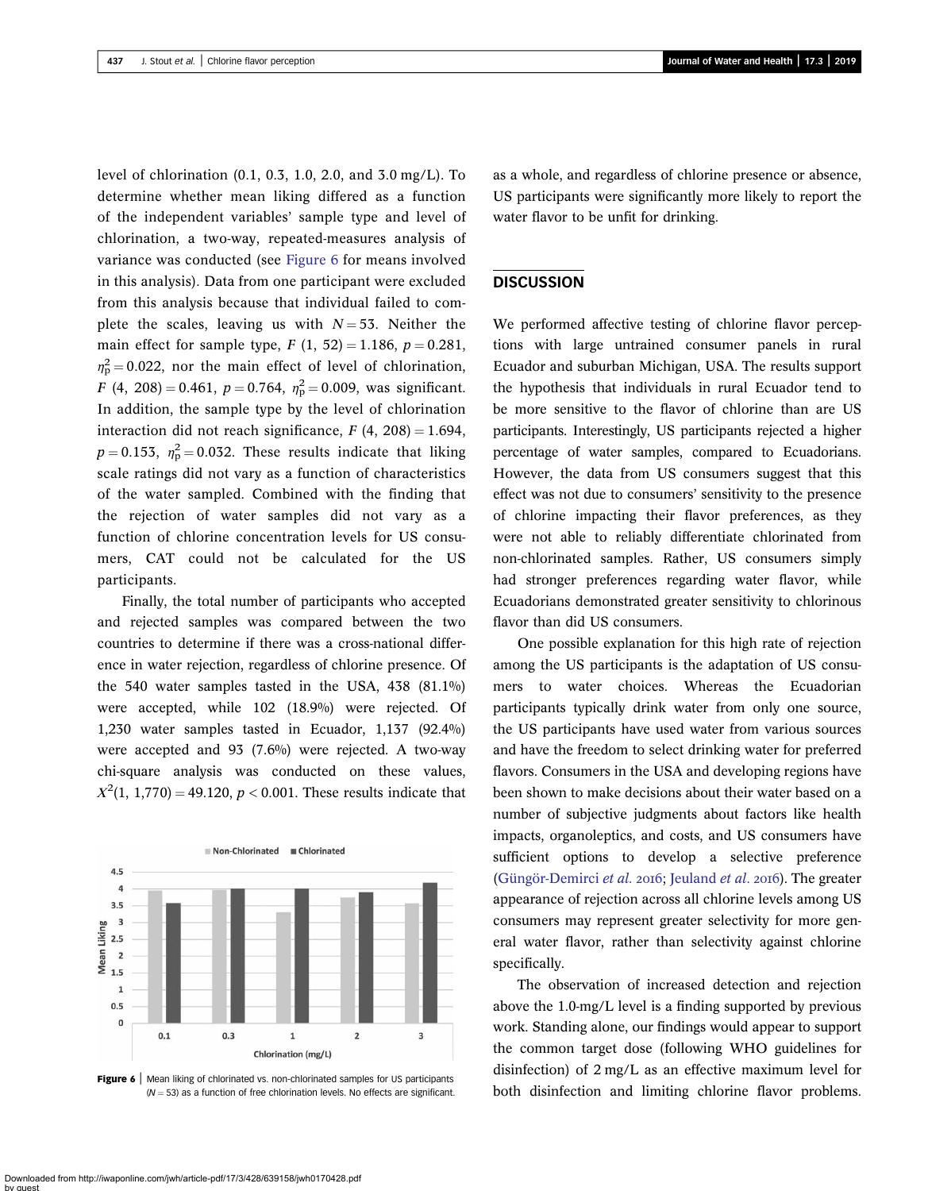level of chlorination (0.1, 0.3, 1.0, 2.0, and 3.0 mg/L). To determine whether mean liking differed as a function of the independent variables' sample type and level of chlorination, a two-way, repeated-measures analysis of variance was conducted (see Figure 6 for means involved in this analysis). Data from one participant were excluded from this analysis because that individual failed to complete the scales, leaving us with  $N = 53$ . Neither the main effect for sample type,  $F(1, 52) = 1.186$ ,  $p = 0.281$ ,  $\eta_{\rm p}^2 = 0.022$ , nor the main effect of level of chlorination,  $F(4, 208) = 0.461, p = 0.764, \eta_p^2 = 0.009$ , was significant. In addition, the sample type by the level of chlorination interaction did not reach significance,  $F(4, 208) = 1.694$ ,  $p = 0.153$ ,  $\eta_{\rm p}^2 = 0.032$ . These results indicate that liking scale ratings did not vary as a function of characteristics of the water sampled. Combined with the finding that the rejection of water samples did not vary as a function of chlorine concentration levels for US consumers, CAT could not be calculated for the US participants.

Finally, the total number of participants who accepted and rejected samples was compared between the two countries to determine if there was a cross-national difference in water rejection, regardless of chlorine presence. Of the 540 water samples tasted in the USA, 438 (81.1%) were accepted, while 102 (18.9%) were rejected. Of 1,230 water samples tasted in Ecuador, 1,137 (92.4%) were accepted and 93 (7.6%) were rejected. A two-way chi-square analysis was conducted on these values,  $X^2(1, 1,770) = 49.120, p < 0.001$ . These results indicate that



Figure 6 | Mean liking of chlorinated vs. non-chlorinated samples for US participants  $(N = 53)$  as a function of free chlorination levels. No effects are significant.

as a whole, and regardless of chlorine presence or absence, US participants were significantly more likely to report the water flavor to be unfit for drinking.

#### **DISCUSSION**

We performed affective testing of chlorine flavor perceptions with large untrained consumer panels in rural Ecuador and suburban Michigan, USA. The results support the hypothesis that individuals in rural Ecuador tend to be more sensitive to the flavor of chlorine than are US participants. Interestingly, US participants rejected a higher percentage of water samples, compared to Ecuadorians. However, the data from US consumers suggest that this effect was not due to consumers' sensitivity to the presence of chlorine impacting their flavor preferences, as they were not able to reliably differentiate chlorinated from non-chlorinated samples. Rather, US consumers simply had stronger preferences regarding water flavor, while Ecuadorians demonstrated greater sensitivity to chlorinous flavor than did US consumers.

One possible explanation for this high rate of rejection among the US participants is the adaptation of US consumers to water choices. Whereas the Ecuadorian participants typically drink water from only one source, the US participants have used water from various sources and have the freedom to select drinking water for preferred flavors. Consumers in the USA and developing regions have been shown to make decisions about their water based on a number of subjective judgments about factors like health impacts, organoleptics, and costs, and US consumers have sufficient options to develop a selective preference [\(Güngör-Demirci](#page-12-0) et al. 2016; [Jeuland](#page-12-0) et al. 2016). The greater appearance of rejection across all chlorine levels among US consumers may represent greater selectivity for more general water flavor, rather than selectivity against chlorine specifically.

The observation of increased detection and rejection above the 1.0-mg/L level is a finding supported by previous work. Standing alone, our findings would appear to support the common target dose (following WHO guidelines for disinfection) of 2 mg/L as an effective maximum level for both disinfection and limiting chlorine flavor problems.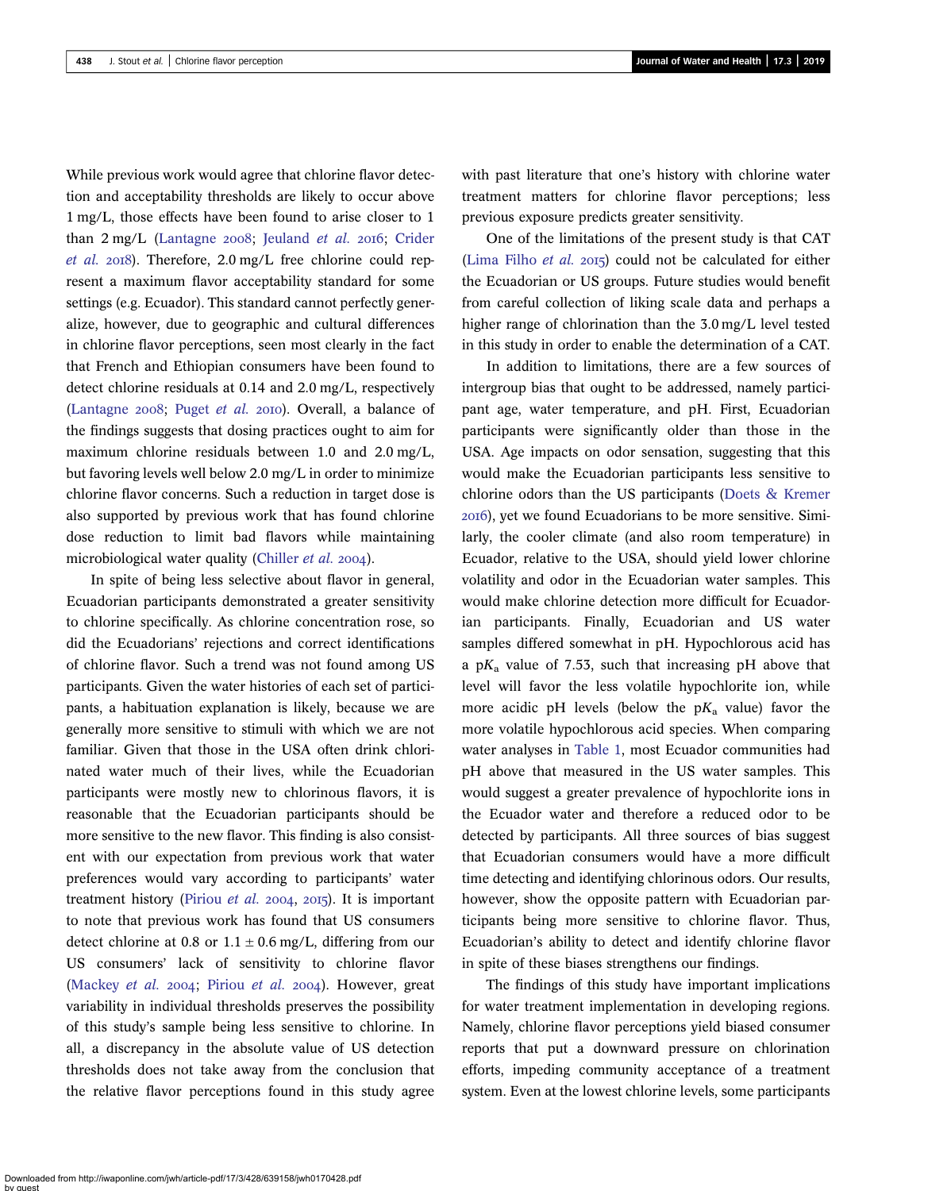While previous work would agree that chlorine flavor detection and acceptability thresholds are likely to occur above 1 mg/L, those effects have been found to arise closer to 1 than  $2 \text{ mg/L}$  [\(Lantagne](#page-12-0)  $2008$ ; [Jeuland](#page-12-0) et al.  $2016$ ; [Crider](#page-12-0) [et al.](#page-12-0) 2018). Therefore,  $2.0 \text{ mg/L}$  free chlorine could represent a maximum flavor acceptability standard for some settings (e.g. Ecuador). This standard cannot perfectly generalize, however, due to geographic and cultural differences in chlorine flavor perceptions, seen most clearly in the fact that French and Ethiopian consumers have been found to detect chlorine residuals at 0.14 and 2.0 mg/L, respectively ([Lantagne](#page-12-0) 2008; [Puget](#page-13-0) et al. 2010). Overall, a balance of the findings suggests that dosing practices ought to aim for maximum chlorine residuals between 1.0 and 2.0 mg/L, but favoring levels well below 2.0 mg/L in order to minimize chlorine flavor concerns. Such a reduction in target dose is also supported by previous work that has found chlorine dose reduction to limit bad flavors while maintaining microbiological water quality ([Chiller](#page-12-0) *et al.* 2004).

In spite of being less selective about flavor in general, Ecuadorian participants demonstrated a greater sensitivity to chlorine specifically. As chlorine concentration rose, so did the Ecuadorians' rejections and correct identifications of chlorine flavor. Such a trend was not found among US participants. Given the water histories of each set of participants, a habituation explanation is likely, because we are generally more sensitive to stimuli with which we are not familiar. Given that those in the USA often drink chlorinated water much of their lives, while the Ecuadorian participants were mostly new to chlorinous flavors, it is reasonable that the Ecuadorian participants should be more sensitive to the new flavor. This finding is also consistent with our expectation from previous work that water preferences would vary according to participants' water treatment history [\(Piriou](#page-13-0) et al.  $2004$ ,  $2015$ ). It is important to note that previous work has found that US consumers detect chlorine at 0.8 or  $1.1 \pm 0.6$  mg/L, differing from our US consumers' lack of sensitivity to chlorine flavor ([Mackey](#page-13-0) et al.  $2004$ ; [Piriou](#page-13-0) et al.  $2004$ ). However, great variability in individual thresholds preserves the possibility of this study's sample being less sensitive to chlorine. In all, a discrepancy in the absolute value of US detection thresholds does not take away from the conclusion that the relative flavor perceptions found in this study agree with past literature that one's history with chlorine water treatment matters for chlorine flavor perceptions; less previous exposure predicts greater sensitivity.

One of the limitations of the present study is that CAT ([Lima Filho](#page-12-0)  $et$  al. 2015) could not be calculated for either the Ecuadorian or US groups. Future studies would benefit from careful collection of liking scale data and perhaps a higher range of chlorination than the 3.0 mg/L level tested in this study in order to enable the determination of a CAT.

In addition to limitations, there are a few sources of intergroup bias that ought to be addressed, namely participant age, water temperature, and pH. First, Ecuadorian participants were significantly older than those in the USA. Age impacts on odor sensation, suggesting that this would make the Ecuadorian participants less sensitive to chlorine odors than the US participants ([Doets & Kremer](#page-12-0) ), yet we found Ecuadorians to be more sensitive. Similarly, the cooler climate (and also room temperature) in Ecuador, relative to the USA, should yield lower chlorine volatility and odor in the Ecuadorian water samples. This would make chlorine detection more difficult for Ecuadorian participants. Finally, Ecuadorian and US water samples differed somewhat in pH. Hypochlorous acid has a p $K_a$  value of 7.53, such that increasing pH above that level will favor the less volatile hypochlorite ion, while more acidic pH levels (below the  $pK_a$  value) favor the more volatile hypochlorous acid species. When comparing water analyses in [Table 1](#page-5-0), most Ecuador communities had pH above that measured in the US water samples. This would suggest a greater prevalence of hypochlorite ions in the Ecuador water and therefore a reduced odor to be detected by participants. All three sources of bias suggest that Ecuadorian consumers would have a more difficult time detecting and identifying chlorinous odors. Our results, however, show the opposite pattern with Ecuadorian participants being more sensitive to chlorine flavor. Thus, Ecuadorian's ability to detect and identify chlorine flavor in spite of these biases strengthens our findings.

The findings of this study have important implications for water treatment implementation in developing regions. Namely, chlorine flavor perceptions yield biased consumer reports that put a downward pressure on chlorination efforts, impeding community acceptance of a treatment system. Even at the lowest chlorine levels, some participants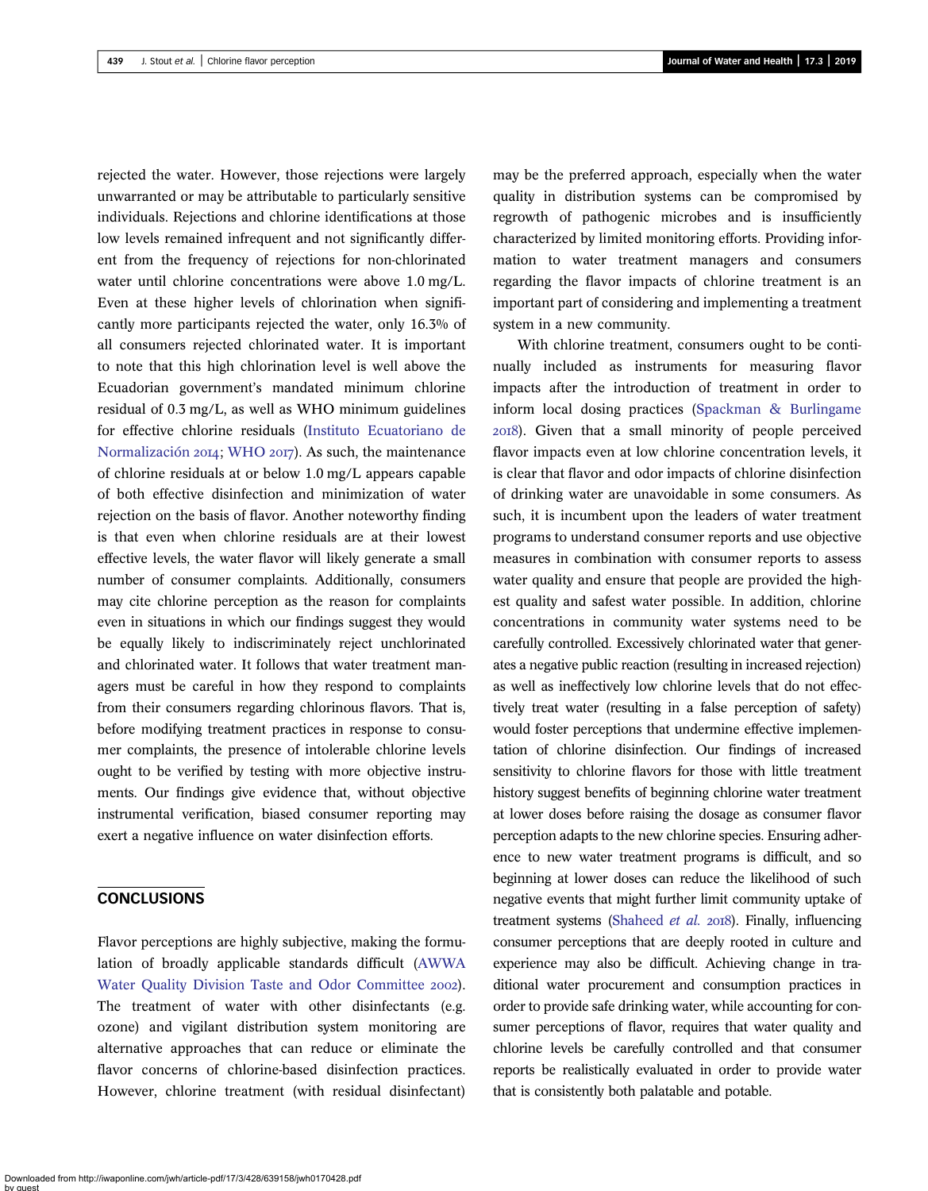rejected the water. However, those rejections were largely unwarranted or may be attributable to particularly sensitive individuals. Rejections and chlorine identifications at those low levels remained infrequent and not significantly different from the frequency of rejections for non-chlorinated water until chlorine concentrations were above 1.0 mg/L. Even at these higher levels of chlorination when significantly more participants rejected the water, only 16.3% of all consumers rejected chlorinated water. It is important to note that this high chlorination level is well above the Ecuadorian government's mandated minimum chlorine residual of 0.3 mg/L, as well as WHO minimum guidelines for effective chlorine residuals [\(Instituto Ecuatoriano de](#page-12-0) [Normalización](#page-12-0) 2014; [WHO](#page-13-0) 2017). As such, the maintenance of chlorine residuals at or below 1.0 mg/L appears capable of both effective disinfection and minimization of water rejection on the basis of flavor. Another noteworthy finding is that even when chlorine residuals are at their lowest effective levels, the water flavor will likely generate a small number of consumer complaints. Additionally, consumers may cite chlorine perception as the reason for complaints even in situations in which our findings suggest they would be equally likely to indiscriminately reject unchlorinated and chlorinated water. It follows that water treatment managers must be careful in how they respond to complaints from their consumers regarding chlorinous flavors. That is, before modifying treatment practices in response to consumer complaints, the presence of intolerable chlorine levels ought to be verified by testing with more objective instruments. Our findings give evidence that, without objective instrumental verification, biased consumer reporting may exert a negative influence on water disinfection efforts.

# **CONCLUSIONS**

Flavor perceptions are highly subjective, making the formulation of broadly applicable standards difficult [\(AWWA](#page-12-0) [Water Quality Division Taste and Odor Committee](#page-12-0) 2002). The treatment of water with other disinfectants (e.g. ozone) and vigilant distribution system monitoring are alternative approaches that can reduce or eliminate the flavor concerns of chlorine-based disinfection practices. However, chlorine treatment (with residual disinfectant)

may be the preferred approach, especially when the water quality in distribution systems can be compromised by regrowth of pathogenic microbes and is insufficiently characterized by limited monitoring efforts. Providing information to water treatment managers and consumers regarding the flavor impacts of chlorine treatment is an important part of considering and implementing a treatment system in a new community.

With chlorine treatment, consumers ought to be continually included as instruments for measuring flavor impacts after the introduction of treatment in order to inform local dosing practices ([Spackman & Burlingame](#page-13-0) ). Given that a small minority of people perceived flavor impacts even at low chlorine concentration levels, it is clear that flavor and odor impacts of chlorine disinfection of drinking water are unavoidable in some consumers. As such, it is incumbent upon the leaders of water treatment programs to understand consumer reports and use objective measures in combination with consumer reports to assess water quality and ensure that people are provided the highest quality and safest water possible. In addition, chlorine concentrations in community water systems need to be carefully controlled. Excessively chlorinated water that generates a negative public reaction (resulting in increased rejection) as well as ineffectively low chlorine levels that do not effectively treat water (resulting in a false perception of safety) would foster perceptions that undermine effective implementation of chlorine disinfection. Our findings of increased sensitivity to chlorine flavors for those with little treatment history suggest benefits of beginning chlorine water treatment at lower doses before raising the dosage as consumer flavor perception adapts to the new chlorine species. Ensuring adherence to new water treatment programs is difficult, and so beginning at lower doses can reduce the likelihood of such negative events that might further limit community uptake of treatment systems [\(Shaheed](#page-13-0) et al. 2018). Finally, influencing consumer perceptions that are deeply rooted in culture and experience may also be difficult. Achieving change in traditional water procurement and consumption practices in order to provide safe drinking water, while accounting for consumer perceptions of flavor, requires that water quality and chlorine levels be carefully controlled and that consumer reports be realistically evaluated in order to provide water that is consistently both palatable and potable.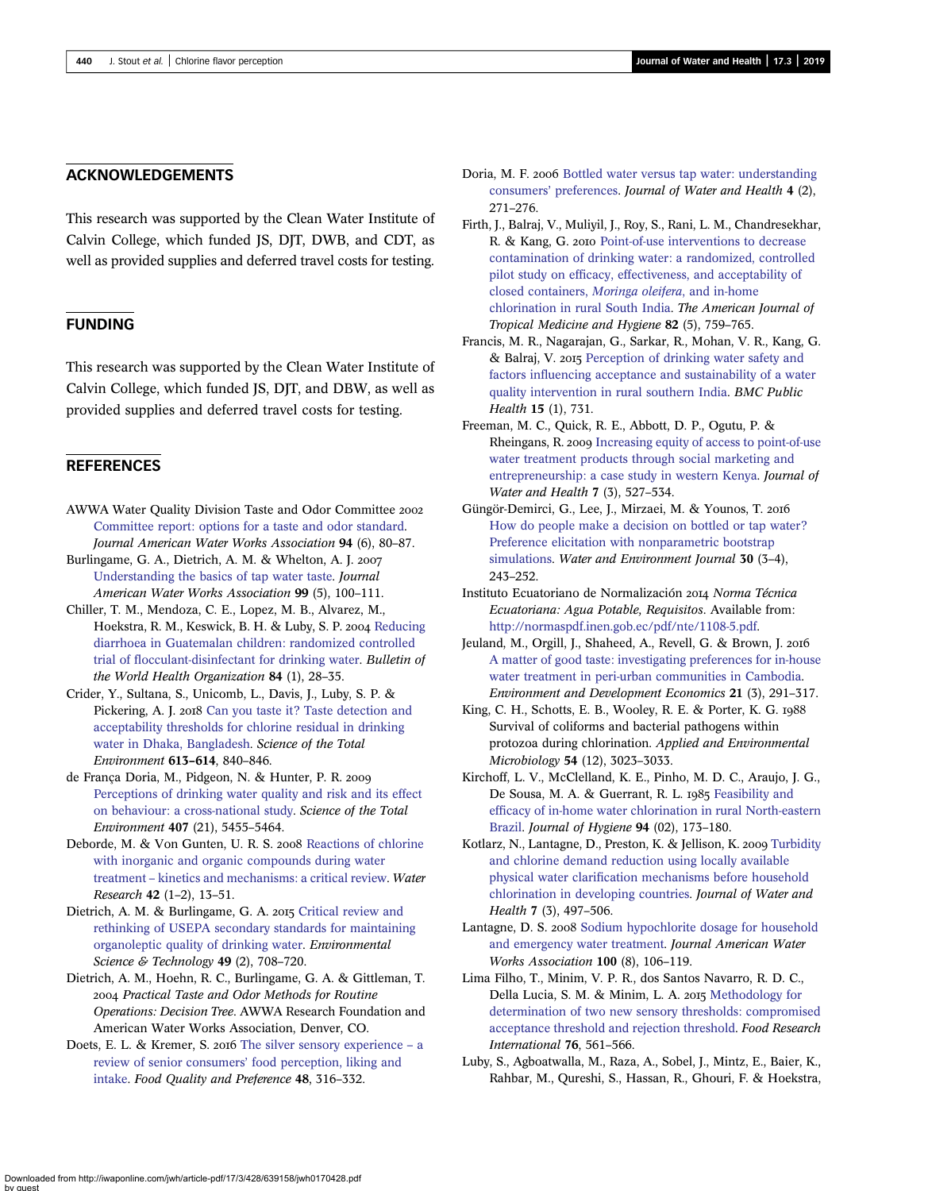#### <span id="page-12-0"></span>ACKNOWLEDGEMENTS

This research was supported by the Clean Water Institute of Calvin College, which funded JS, DJT, DWB, and CDT, as well as provided supplies and deferred travel costs for testing.

# FUNDING

This research was supported by the Clean Water Institute of Calvin College, which funded JS, DJT, and DBW, as well as provided supplies and deferred travel costs for testing.

# **REFERENCES**

- AWWA Water Quality Division Taste and Odor Committee [Committee report: options for a taste and odor standard.](http://dx.doi.org/10.1002/j.1551-8833.2002.tb09491.x) Journal American Water Works Association 94 (6), 80–87.
- Burlingame, G. A., Dietrich, A. M. & Whelton, A. J. [Understanding the basics of tap water taste](http://dx.doi.org/10.1002/j.1551-8833.2007.tb07930.x). Journal American Water Works Association 99 (5), 100–111.
- Chiller, T. M., Mendoza, C. E., Lopez, M. B., Alvarez, M., Hoekstra, R. M., Keswick, B. H. & Luby, S. P. 2004 [Reducing](http://dx.doi.org/10.2471/BLT.04.016980) [diarrhoea in Guatemalan children: randomized controlled](http://dx.doi.org/10.2471/BLT.04.016980) trial of fl[occulant-disinfectant for drinking water](http://dx.doi.org/10.2471/BLT.04.016980). Bulletin of the World Health Organization 84 (1), 28–35.
- Crider, Y., Sultana, S., Unicomb, L., Davis, J., Luby, S. P. & Pickering, A. J. 2018 [Can you taste it? Taste detection and](http://dx.doi.org/10.1016/j.scitotenv.2017.09.135) [acceptability thresholds for chlorine residual in drinking](http://dx.doi.org/10.1016/j.scitotenv.2017.09.135) [water in Dhaka, Bangladesh](http://dx.doi.org/10.1016/j.scitotenv.2017.09.135). Science of the Total Environment 613–614, 840–846.
- de França Doria, M., Pidgeon, N. & Hunter, P. R. [Perceptions of drinking water quality and risk and its effect](http://dx.doi.org/10.1016/j.scitotenv.2009.06.031) [on behaviour: a cross-national study.](http://dx.doi.org/10.1016/j.scitotenv.2009.06.031) Science of the Total Environment 407 (21), 5455–5464.
- Deborde, M. & Von Gunten, U. R. S. 2008 [Reactions of chlorine](http://dx.doi.org/10.1016/j.watres.2007.07.025) [with inorganic and organic compounds during water](http://dx.doi.org/10.1016/j.watres.2007.07.025) treatment – [kinetics and mechanisms: a critical review](http://dx.doi.org/10.1016/j.watres.2007.07.025). Water Research 42 (1–2), 13–51.
- Dietrich, A. M. & Burlingame, G. A. 2015 [Critical review and](http://dx.doi.org/10.1021/es504403t) [rethinking of USEPA secondary standards for maintaining](http://dx.doi.org/10.1021/es504403t) [organoleptic quality of drinking water.](http://dx.doi.org/10.1021/es504403t) Environmental Science & Technology 49 (2), 708-720.
- Dietrich, A. M., Hoehn, R. C., Burlingame, G. A. & Gittleman, T. Practical Taste and Odor Methods for Routine Operations: Decision Tree. AWWA Research Foundation and American Water Works Association, Denver, CO.
- Doets, E. L. & Kremer, S. 2016 [The silver sensory experience](http://dx.doi.org/10.1016/j.foodqual.2015.08.010) a [review of senior consumers](http://dx.doi.org/10.1016/j.foodqual.2015.08.010)' food perception, liking and [intake.](http://dx.doi.org/10.1016/j.foodqual.2015.08.010) Food Quality and Preference 48, 316–332.
- Doria, M. F. 2006 [Bottled water versus tap water: understanding](http://dx.doi.org/10.2166/wh.2006.0023) consumers' [preferences.](http://dx.doi.org/10.2166/wh.2006.0023) Journal of Water and Health 4 (2), 271–276.
- Firth, J., Balraj, V., Muliyil, J., Roy, S., Rani, L. M., Chandresekhar, R. & Kang, G. 2010 [Point-of-use interventions to decrease](http://dx.doi.org/10.4269/ajtmh.2010.09-0206) [contamination of drinking water: a randomized, controlled](http://dx.doi.org/10.4269/ajtmh.2010.09-0206) pilot study on effi[cacy, effectiveness, and acceptability of](http://dx.doi.org/10.4269/ajtmh.2010.09-0206) [closed containers,](http://dx.doi.org/10.4269/ajtmh.2010.09-0206) Moringa oleifera, and in-home [chlorination in rural South India.](http://dx.doi.org/10.4269/ajtmh.2010.09-0206) The American Journal of Tropical Medicine and Hygiene 82 (5), 759–765.
- Francis, M. R., Nagarajan, G., Sarkar, R., Mohan, V. R., Kang, G. & Balraj, V. 2015 [Perception of drinking water safety and](http://dx.doi.org/10.1186/s12889-015-1974-0) factors infl[uencing acceptance and sustainability of a water](http://dx.doi.org/10.1186/s12889-015-1974-0) [quality intervention in rural southern India.](http://dx.doi.org/10.1186/s12889-015-1974-0) BMC Public Health 15 (1), 731.
- Freeman, M. C., Quick, R. E., Abbott, D. P., Ogutu, P. & Rheingans, R. 2009 [Increasing equity of access to point-of-use](http://dx.doi.org/10.2166/wh.2009.063) [water treatment products through social marketing and](http://dx.doi.org/10.2166/wh.2009.063) [entrepreneurship: a case study in western Kenya](http://dx.doi.org/10.2166/wh.2009.063). Journal of Water and Health 7 (3), 527–534.
- Güngör-Demirci, G., Lee, J., Mirzaei, M. & Younos, T. [How do people make a decision on bottled or tap water?](http://dx.doi.org/10.1111/wej.12181) [Preference elicitation with nonparametric bootstrap](http://dx.doi.org/10.1111/wej.12181) [simulations.](http://dx.doi.org/10.1111/wej.12181) Water and Environment Journal 30 (3-4), 243–252.
- Instituto Ecuatoriano de Normalización 2014 Norma Técnica Ecuatoriana: Agua Potable, Requisitos. Available from: <http://normaspdf.inen.gob.ec/pdf/nte/1108-5.pdf>.
- Jeuland, M., Orgill, J., Shaheed, A., Revell, G. & Brown, J. [A matter of good taste: investigating preferences for in-house](http://dx.doi.org/10.1017/S1355770X15000248) [water treatment in peri-urban communities in Cambodia.](http://dx.doi.org/10.1017/S1355770X15000248) Environment and Development Economics 21 (3), 291–317.
- King, C. H., Schotts, E. B., Wooley, R. E. & Porter, K. G. 1988 Survival of coliforms and bacterial pathogens within protozoa during chlorination. Applied and Environmental Microbiology 54 (12), 3023–3033.
- Kirchoff, L. V., McClelland, K. E., Pinho, M. D. C., Araujo, J. G., De Sousa, M. A. & Guerrant, R. L. 1985 [Feasibility and](http://dx.doi.org/10.1017/S0022172400061374) effi[cacy of in-home water chlorination in rural North-eastern](http://dx.doi.org/10.1017/S0022172400061374) [Brazil.](http://dx.doi.org/10.1017/S0022172400061374) Journal of Hygiene 94 (02), 173–180.
- Kotlarz, N., Lantagne, D., Preston, K. & Jellison, K. 2009 [Turbidity](http://dx.doi.org/10.2166/wh.2009.071) [and chlorine demand reduction using locally available](http://dx.doi.org/10.2166/wh.2009.071) physical water clarifi[cation mechanisms before household](http://dx.doi.org/10.2166/wh.2009.071) [chlorination in developing countries.](http://dx.doi.org/10.2166/wh.2009.071) Journal of Water and Health 7 (3), 497–506.
- Lantagne, D. S. 2008 [Sodium hypochlorite dosage for household](http://dx.doi.org/10.1002/j.1551-8833.2008.tb09704.x) [and emergency water treatment](http://dx.doi.org/10.1002/j.1551-8833.2008.tb09704.x). Journal American Water Works Association 100 (8), 106–119.
- Lima Filho, T., Minim, V. P. R., dos Santos Navarro, R. D. C., Della Lucia, S. M. & Minim, L. A. 2015 [Methodology for](http://dx.doi.org/10.1016/j.foodres.2015.07.037) [determination of two new sensory thresholds: compromised](http://dx.doi.org/10.1016/j.foodres.2015.07.037) [acceptance threshold and rejection threshold](http://dx.doi.org/10.1016/j.foodres.2015.07.037). Food Research International 76, 561–566.
- Luby, S., Agboatwalla, M., Raza, A., Sobel, J., Mintz, E., Baier, K., Rahbar, M., Qureshi, S., Hassan, R., Ghouri, F. & Hoekstra,